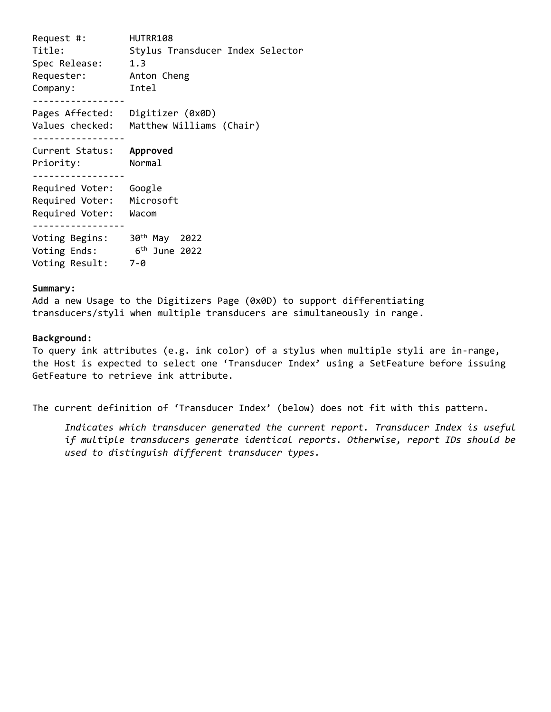Request #: HUTRR108 Title: Stylus Transducer Index Selector Spec Release: 1.3 Requester: Anton Cheng Company: Intel ----------------- Pages Affected: Digitizer (0x0D) Values checked: Matthew Williams (Chair) ----------------- Current Status: **Approved** Priority: Normal ----------------- Required Voter: Google Required Voter: Microsoft Required Voter: Wacom ----------------- Voting Begins: 30th May 2022 Voting Ends: 6 th June 2022 Voting Result: 7-0

## **Summary:**

Add a new Usage to the Digitizers Page (0x0D) to support differentiating transducers/styli when multiple transducers are simultaneously in range.

## **Background:**

To query ink attributes (e.g. ink color) of a stylus when multiple styli are in-range, the Host is expected to select one 'Transducer Index' using a SetFeature before issuing GetFeature to retrieve ink attribute.

The current definition of 'Transducer Index' (below) does not fit with this pattern.

*Indicates which transducer generated the current report. Transducer Index is useful if multiple transducers generate identical reports. Otherwise, report IDs should be used to distinguish different transducer types.*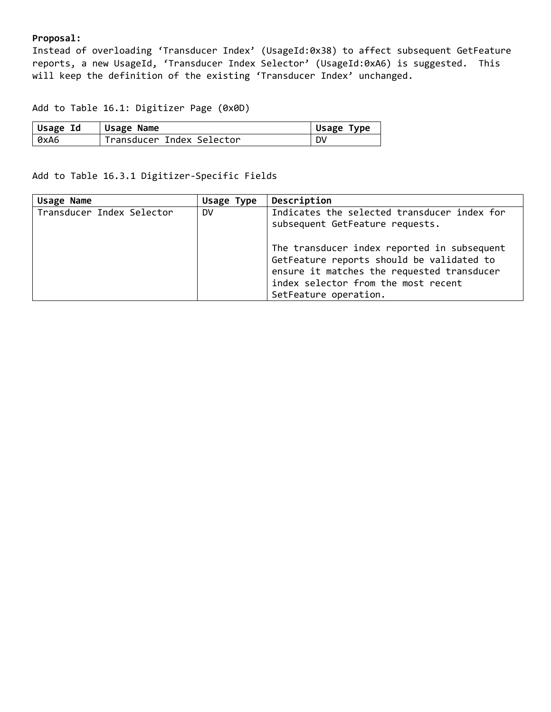## **Proposal:**

Instead of overloading 'Transducer Index' (UsageId:0x38) to affect subsequent GetFeature reports, a new UsageId, 'Transducer Index Selector' (UsageId:0xA6) is suggested. This will keep the definition of the existing 'Transducer Index' unchanged.

Add to Table 16.1: Digitizer Page (0x0D)

| Usage Id | Usage Name                | Usage Type |
|----------|---------------------------|------------|
| 0xA6     | Transducer Index Selector | <b>DV</b>  |

Add to Table 16.3.1 Digitizer-Specific Fields

| Usage Name                | Usage Type | Description                                                                                                                                                                                            |
|---------------------------|------------|--------------------------------------------------------------------------------------------------------------------------------------------------------------------------------------------------------|
| Transducer Index Selector | <b>DV</b>  | Indicates the selected transducer index for<br>subsequent GetFeature requests.                                                                                                                         |
|                           |            | The transducer index reported in subsequent<br>GetFeature reports should be validated to<br>ensure it matches the requested transducer<br>index selector from the most recent<br>SetFeature operation. |